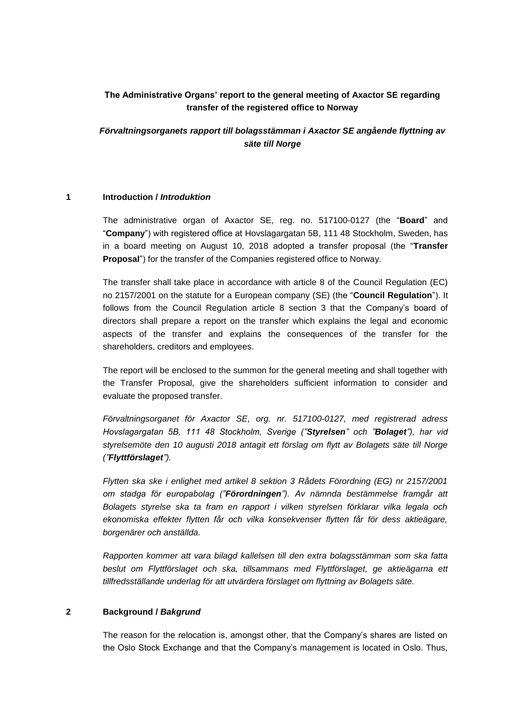# **The Administrative Organs' report to the general meeting of Axactor SE regarding transfer of the registered office to Norway**

*Förvaltningsorganets rapport till bolagsstämman i Axactor SE angående flyttning av säte till Norge*

### **1 Introduction /** *Introduktion*

The administrative organ of Axactor SE, reg. no. 517100-0127 (the "**Board**" and "**Company**") with registered office at Hovslagargatan 5B, 111 48 Stockholm, Sweden, has in a board meeting on August 10, 2018 adopted a transfer proposal (the "**Transfer Proposal**") for the transfer of the Companies registered office to Norway.

The transfer shall take place in accordance with article 8 of the Council Regulation (EC) no 2157/2001 on the statute for a European company (SE) (the "**Council Regulation**"). It follows from the Council Regulation article 8 section 3 that the Company's board of directors shall prepare a report on the transfer which explains the legal and economic aspects of the transfer and explains the consequences of the transfer for the shareholders, creditors and employees.

The report will be enclosed to the summon for the general meeting and shall together with the Transfer Proposal, give the shareholders sufficient information to consider and evaluate the proposed transfer.

*Förvaltningsorganet för Axactor SE, org. nr. 517100-0127, med registrerad adress Hovslagargatan 5B, 111 48 Stockholm, Sverige ("Styrelsen" och "Bolaget"), har vid styrelsemöte den 10 augusti 2018 antagit ett förslag om flytt av Bolagets säte till Norge ("Flyttförslaget").*

*Flytten ska ske i enlighet med artikel 8 sektion 3 Rådets Förordning (EG) nr 2157/2001 om stadga för europabolag ("Förordningen"). Av nämnda bestämmelse framgår att Bolagets styrelse ska ta fram en rapport i vilken styrelsen förklarar vilka legala och ekonomiska effekter flytten får och vilka konsekvenser flytten får för dess aktieägare, borgenärer och anställda.*

*Rapporten kommer att vara bilagd kallelsen till den extra bolagsstämman som ska fatta beslut om Flyttförslaget och ska, tillsammans med Flyttförslaget, ge aktieägarna ett tillfredsställande underlag för att utvärdera förslaget om flyttning av Bolagets säte.* 

### **2 Background /** *Bakgrund*

The reason for the relocation is, amongst other, that the Company's shares are listed on the Oslo Stock Exchange and that the Company's management is located in Oslo. Thus,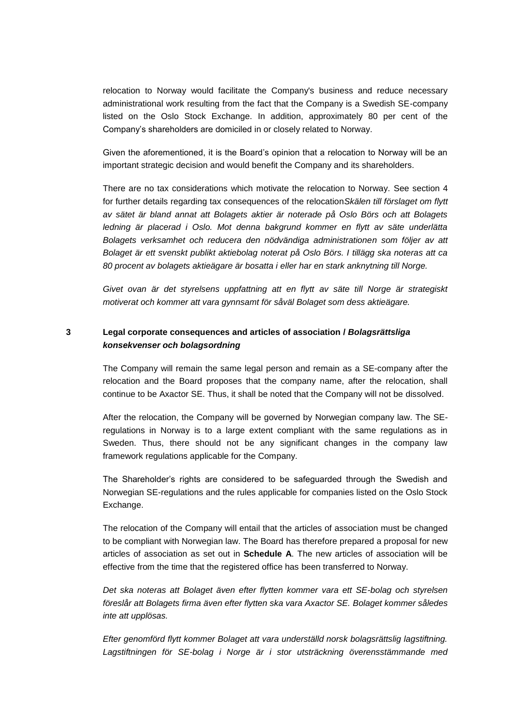relocation to Norway would facilitate the Company's business and reduce necessary administrational work resulting from the fact that the Company is a Swedish SE-company listed on the Oslo Stock Exchange. In addition, approximately 80 per cent of the Company's shareholders are domiciled in or closely related to Norway.

Given the aforementioned, it is the Board's opinion that a relocation to Norway will be an important strategic decision and would benefit the Company and its shareholders.

There are no tax considerations which motivate the relocation to Norway. See section 4 for further details regarding tax consequences of the relocation*Skälen till förslaget om flytt av sätet är bland annat att Bolagets aktier är noterade på Oslo Börs och att Bolagets ledning är placerad i Oslo. Mot denna bakgrund kommer en flytt av säte underlätta Bolagets verksamhet och reducera den nödvändiga administrationen som följer av att Bolaget är ett svenskt publikt aktiebolag noterat på Oslo Börs. I tillägg ska noteras att ca 80 procent av bolagets aktieägare är bosatta i eller har en stark anknytning till Norge.*

*Givet ovan är det styrelsens uppfattning att en flytt av säte till Norge är strategiskt motiverat och kommer att vara gynnsamt för såväl Bolaget som dess aktieägare.*

# **3 Legal corporate consequences and articles of association /** *Bolagsrättsliga konsekvenser och bolagsordning*

The Company will remain the same legal person and remain as a SE-company after the relocation and the Board proposes that the company name, after the relocation, shall continue to be Axactor SE. Thus, it shall be noted that the Company will not be dissolved.

After the relocation, the Company will be governed by Norwegian company law. The SEregulations in Norway is to a large extent compliant with the same regulations as in Sweden. Thus, there should not be any significant changes in the company law framework regulations applicable for the Company.

The Shareholder's rights are considered to be safeguarded through the Swedish and Norwegian SE-regulations and the rules applicable for companies listed on the Oslo Stock Exchange.

The relocation of the Company will entail that the articles of association must be changed to be compliant with Norwegian law. The Board has therefore prepared a proposal for new articles of association as set out in **Schedule A**. The new articles of association will be effective from the time that the registered office has been transferred to Norway.

*Det ska noteras att Bolaget även efter flytten kommer vara ett SE-bolag och styrelsen föreslår att Bolagets firma även efter flytten ska vara Axactor SE. Bolaget kommer således inte att upplösas.*

*Efter genomförd flytt kommer Bolaget att vara underställd norsk bolagsrättslig lagstiftning.*  Lagstiftningen för SE-bolag i Norge är i stor utsträckning överensstämmande med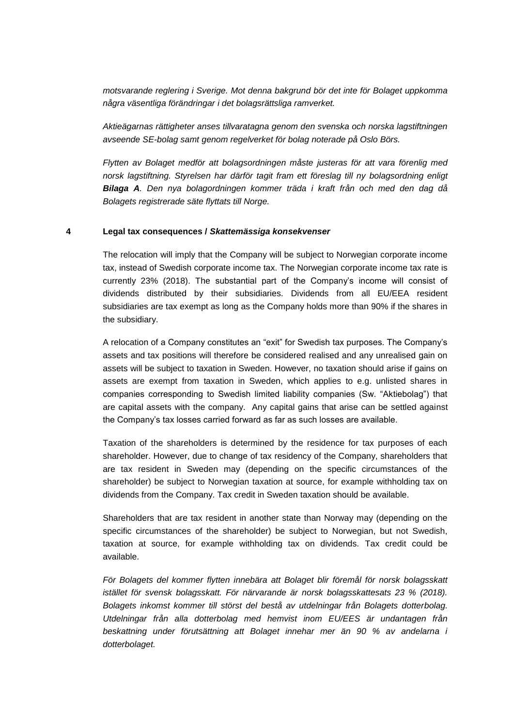*motsvarande reglering i Sverige. Mot denna bakgrund bör det inte för Bolaget uppkomma några väsentliga förändringar i det bolagsrättsliga ramverket.* 

*Aktieägarnas rättigheter anses tillvaratagna genom den svenska och norska lagstiftningen avseende SE-bolag samt genom regelverket för bolag noterade på Oslo Börs.*

*Flytten av Bolaget medför att bolagsordningen måste justeras för att vara förenlig med norsk lagstiftning. Styrelsen har därför tagit fram ett föreslag till ny bolagsordning enligt Bilaga A. Den nya bolagordningen kommer träda i kraft från och med den dag då Bolagets registrerade säte flyttats till Norge.*

#### **4 Legal tax consequences /** *Skattemässiga konsekvenser*

The relocation will imply that the Company will be subject to Norwegian corporate income tax, instead of Swedish corporate income tax. The Norwegian corporate income tax rate is currently 23% (2018). The substantial part of the Company's income will consist of dividends distributed by their subsidiaries. Dividends from all EU/EEA resident subsidiaries are tax exempt as long as the Company holds more than 90% if the shares in the subsidiary.

A relocation of a Company constitutes an "exit" for Swedish tax purposes. The Company's assets and tax positions will therefore be considered realised and any unrealised gain on assets will be subject to taxation in Sweden. However, no taxation should arise if gains on assets are exempt from taxation in Sweden, which applies to e.g. unlisted shares in companies corresponding to Swedish limited liability companies (Sw. "Aktiebolag") that are capital assets with the company. Any capital gains that arise can be settled against the Company's tax losses carried forward as far as such losses are available.

Taxation of the shareholders is determined by the residence for tax purposes of each shareholder. However, due to change of tax residency of the Company, shareholders that are tax resident in Sweden may (depending on the specific circumstances of the shareholder) be subject to Norwegian taxation at source, for example withholding tax on dividends from the Company. Tax credit in Sweden taxation should be available.

Shareholders that are tax resident in another state than Norway may (depending on the specific circumstances of the shareholder) be subject to Norwegian, but not Swedish, taxation at source, for example withholding tax on dividends. Tax credit could be available.

*För Bolagets del kommer flytten innebära att Bolaget blir föremål för norsk bolagsskatt istället för svensk bolagsskatt. För närvarande är norsk bolagsskattesats 23 % (2018). Bolagets inkomst kommer till störst del bestå av utdelningar från Bolagets dotterbolag. Utdelningar från alla dotterbolag med hemvist inom EU/EES är undantagen från beskattning under förutsättning att Bolaget innehar mer än 90 % av andelarna i dotterbolaget.*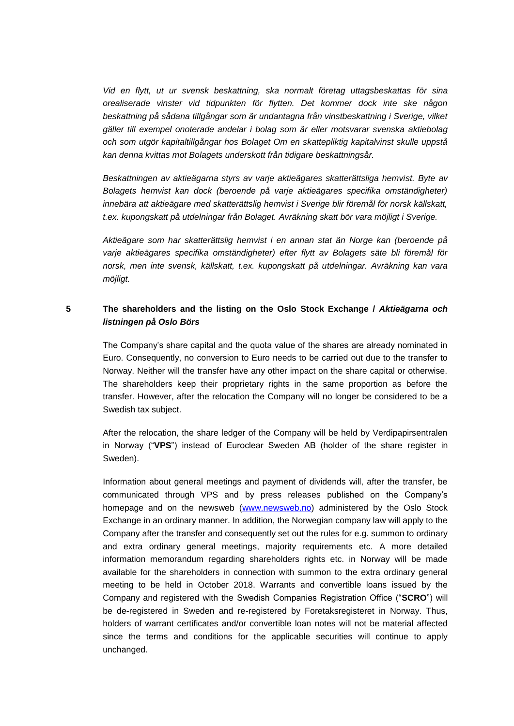*Vid en flytt, ut ur svensk beskattning, ska normalt företag uttagsbeskattas för sina orealiserade vinster vid tidpunkten för flytten. Det kommer dock inte ske någon beskattning på sådana tillgångar som är undantagna från vinstbeskattning i Sverige, vilket gäller till exempel onoterade andelar i bolag som är eller motsvarar svenska aktiebolag och som utgör kapitaltillgångar hos Bolaget Om en skattepliktig kapitalvinst skulle uppstå kan denna kvittas mot Bolagets underskott från tidigare beskattningsår.* 

*Beskattningen av aktieägarna styrs av varje aktieägares skatterättsliga hemvist. Byte av Bolagets hemvist kan dock (beroende på varje aktieägares specifika omständigheter) innebära att aktieägare med skatterättslig hemvist i Sverige blir föremål för norsk källskatt, t.ex. kupongskatt på utdelningar från Bolaget. Avräkning skatt bör vara möjligt i Sverige.* 

*Aktieägare som har skatterättslig hemvist i en annan stat än Norge kan (beroende på varje aktieägares specifika omständigheter) efter flytt av Bolagets säte bli föremål för norsk, men inte svensk, källskatt, t.ex. kupongskatt på utdelningar. Avräkning kan vara möjligt.*

# **5 The shareholders and the listing on the Oslo Stock Exchange /** *Aktieägarna och listningen på Oslo Börs*

The Company's share capital and the quota value of the shares are already nominated in Euro. Consequently, no conversion to Euro needs to be carried out due to the transfer to Norway. Neither will the transfer have any other impact on the share capital or otherwise. The shareholders keep their proprietary rights in the same proportion as before the transfer. However, after the relocation the Company will no longer be considered to be a Swedish tax subject.

After the relocation, the share ledger of the Company will be held by Verdipapirsentralen in Norway ("**VPS**") instead of Euroclear Sweden AB (holder of the share register in Sweden).

Information about general meetings and payment of dividends will, after the transfer, be communicated through VPS and by press releases published on the Company's homepage and on the newsweb [\(www.newsweb.no\)](http://www.newsweb.no/) administered by the Oslo Stock Exchange in an ordinary manner. In addition, the Norwegian company law will apply to the Company after the transfer and consequently set out the rules for e.g. summon to ordinary and extra ordinary general meetings, majority requirements etc. A more detailed information memorandum regarding shareholders rights etc. in Norway will be made available for the shareholders in connection with summon to the extra ordinary general meeting to be held in October 2018. Warrants and convertible loans issued by the Company and registered with the Swedish Companies Registration Office ("**SCRO**") will be de-registered in Sweden and re-registered by Foretaksregisteret in Norway. Thus, holders of warrant certificates and/or convertible loan notes will not be material affected since the terms and conditions for the applicable securities will continue to apply unchanged.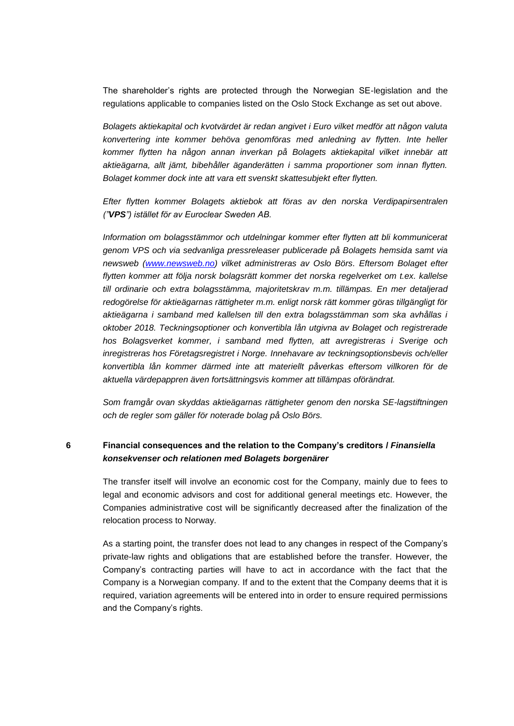The shareholder's rights are protected through the Norwegian SE-legislation and the regulations applicable to companies listed on the Oslo Stock Exchange as set out above.

*Bolagets aktiekapital och kvotvärdet är redan angivet i Euro vilket medför att någon valuta konvertering inte kommer behöva genomföras med anledning av flytten. Inte heller kommer flytten ha någon annan inverkan på Bolagets aktiekapital vilket innebär att aktieägarna, allt jämt, bibehåller äganderätten i samma proportioner som innan flytten. Bolaget kommer dock inte att vara ett svenskt skattesubjekt efter flytten.* 

*Efter flytten kommer Bolagets aktiebok att föras av den norska Verdipapirsentralen ("VPS") istället för av Euroclear Sweden AB.*

*Information om bolagsstämmor och utdelningar kommer efter flytten att bli kommunicerat genom VPS och via sedvanliga pressreleaser publicerade på Bolagets hemsida samt via newsweb [\(www.newsweb.no\)](http://www.newsweb.no/) vilket administreras av Oslo Börs. Eftersom Bolaget efter flytten kommer att följa norsk bolagsrätt kommer det norska regelverket om t.ex. kallelse till ordinarie och extra bolagsstämma, majoritetskrav m.m. tillämpas. En mer detaljerad redogörelse för aktieägarnas rättigheter m.m. enligt norsk rätt kommer göras tillgängligt för aktieägarna i samband med kallelsen till den extra bolagsstämman som ska avhållas i oktober 2018. Teckningsoptioner och konvertibla lån utgivna av Bolaget och registrerade hos Bolagsverket kommer, i samband med flytten, att avregistreras i Sverige och inregistreras hos Företagsregistret i Norge. Innehavare av teckningsoptionsbevis och/eller konvertibla lån kommer därmed inte att materiellt påverkas eftersom villkoren för de aktuella värdepappren även fortsättningsvis kommer att tillämpas oförändrat.* 

*Som framgår ovan skyddas aktieägarnas rättigheter genom den norska SE-lagstiftningen och de regler som gäller för noterade bolag på Oslo Börs.* 

## **6 Financial consequences and the relation to the Company's creditors /** *Finansiella konsekvenser och relationen med Bolagets borgenärer*

The transfer itself will involve an economic cost for the Company, mainly due to fees to legal and economic advisors and cost for additional general meetings etc. However, the Companies administrative cost will be significantly decreased after the finalization of the relocation process to Norway.

As a starting point, the transfer does not lead to any changes in respect of the Company's private-law rights and obligations that are established before the transfer. However, the Company's contracting parties will have to act in accordance with the fact that the Company is a Norwegian company. If and to the extent that the Company deems that it is required, variation agreements will be entered into in order to ensure required permissions and the Company's rights.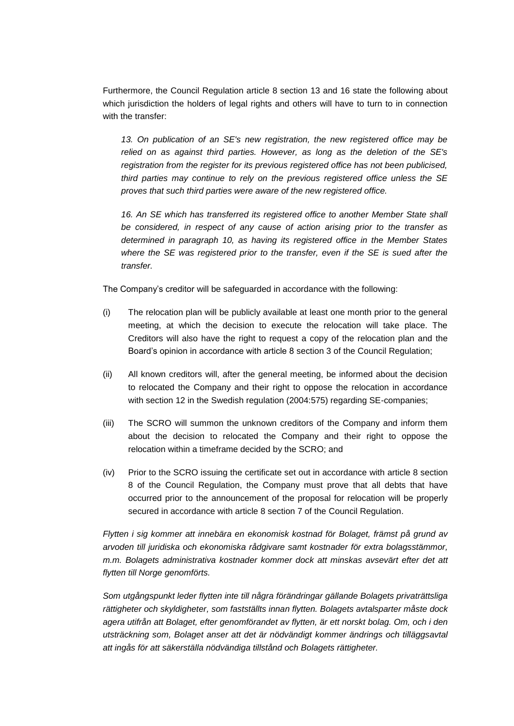Furthermore, the Council Regulation article 8 section 13 and 16 state the following about which jurisdiction the holders of legal rights and others will have to turn to in connection with the transfer:

*13. On publication of an SE's new registration, the new registered office may be relied on as against third parties. However, as long as the deletion of the SE's registration from the register for its previous registered office has not been publicised, third parties may continue to rely on the previous registered office unless the SE proves that such third parties were aware of the new registered office.*

16. An SE which has transferred its registered office to another Member State shall *be considered, in respect of any cause of action arising prior to the transfer as determined in paragraph 10, as having its registered office in the Member States where the SE was registered prior to the transfer, even if the SE is sued after the transfer.*

The Company's creditor will be safeguarded in accordance with the following:

- (i) The relocation plan will be publicly available at least one month prior to the general meeting, at which the decision to execute the relocation will take place. The Creditors will also have the right to request a copy of the relocation plan and the Board's opinion in accordance with article 8 section 3 of the Council Regulation;
- (ii) All known creditors will, after the general meeting, be informed about the decision to relocated the Company and their right to oppose the relocation in accordance with section 12 in the Swedish regulation (2004:575) regarding SE-companies;
- (iii) The SCRO will summon the unknown creditors of the Company and inform them about the decision to relocated the Company and their right to oppose the relocation within a timeframe decided by the SCRO; and
- (iv) Prior to the SCRO issuing the certificate set out in accordance with article 8 section 8 of the Council Regulation, the Company must prove that all debts that have occurred prior to the announcement of the proposal for relocation will be properly secured in accordance with article 8 section 7 of the Council Regulation.

*Flytten i sig kommer att innebära en ekonomisk kostnad för Bolaget, främst på grund av arvoden till juridiska och ekonomiska rådgivare samt kostnader för extra bolagsstämmor, m.m. Bolagets administrativa kostnader kommer dock att minskas avsevärt efter det att flytten till Norge genomförts.*

*Som utgångspunkt leder flytten inte till några förändringar gällande Bolagets privaträttsliga rättigheter och skyldigheter, som fastställts innan flytten. Bolagets avtalsparter måste dock agera utifrån att Bolaget, efter genomförandet av flytten, är ett norskt bolag. Om, och i den utsträckning som, Bolaget anser att det är nödvändigt kommer ändrings och tilläggsavtal att ingås för att säkerställa nödvändiga tillstånd och Bolagets rättigheter.*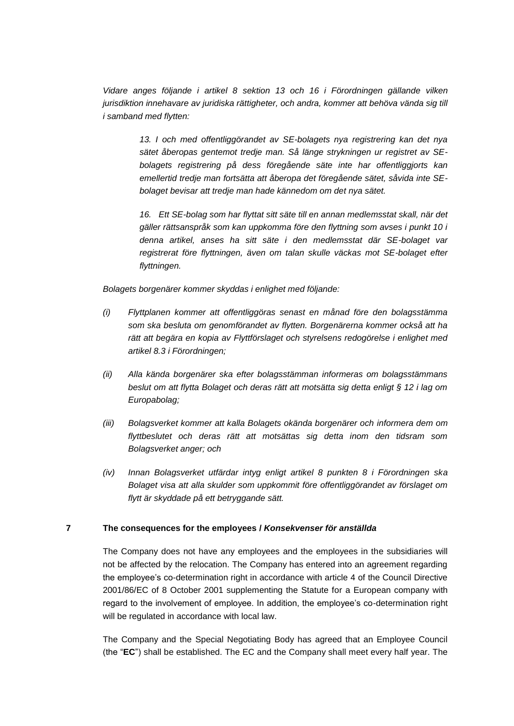*Vidare anges följande i artikel 8 sektion 13 och 16 i Förordningen gällande vilken jurisdiktion innehavare av juridiska rättigheter, och andra, kommer att behöva vända sig till i samband med flytten:*

> *13. I och med offentliggörandet av SE-bolagets nya registrering kan det nya sätet åberopas gentemot tredje man. Så länge strykningen ur registret av SEbolagets registrering på dess föregående säte inte har offentliggjorts kan emellertid tredje man fortsätta att åberopa det föregående sätet, såvida inte SEbolaget bevisar att tredje man hade kännedom om det nya sätet.*

> *16. Ett SE-bolag som har flyttat sitt säte till en annan medlemsstat skall, när det gäller rättsanspråk som kan uppkomma före den flyttning som avses i punkt 10 i denna artikel, anses ha sitt säte i den medlemsstat där SE-bolaget var registrerat före flyttningen, även om talan skulle väckas mot SE-bolaget efter flyttningen.*

*Bolagets borgenärer kommer skyddas i enlighet med följande:*

- *(i) Flyttplanen kommer att offentliggöras senast en månad före den bolagsstämma som ska besluta om genomförandet av flytten. Borgenärerna kommer också att ha rätt att begära en kopia av Flyttförslaget och styrelsens redogörelse i enlighet med artikel 8.3 i Förordningen;*
- *(ii) Alla kända borgenärer ska efter bolagsstämman informeras om bolagsstämmans beslut om att flytta Bolaget och deras rätt att motsätta sig detta enligt § 12 i lag om Europabolag;*
- *(iii) Bolagsverket kommer att kalla Bolagets okända borgenärer och informera dem om flyttbeslutet och deras rätt att motsättas sig detta inom den tidsram som Bolagsverket anger; och*
- *(iv) Innan Bolagsverket utfärdar intyg enligt artikel 8 punkten 8 i Förordningen ska Bolaget visa att alla skulder som uppkommit före offentliggörandet av förslaget om flytt är skyddade på ett betryggande sätt.*

## **7 The consequences for the employees /** *Konsekvenser för anställda*

The Company does not have any employees and the employees in the subsidiaries will not be affected by the relocation. The Company has entered into an agreement regarding the employee's co-determination right in accordance with article 4 of the Council Directive 2001/86/EC of 8 October 2001 supplementing the Statute for a European company with regard to the involvement of employee. In addition, the employee's co-determination right will be regulated in accordance with local law.

The Company and the Special Negotiating Body has agreed that an Employee Council (the "**EC**") shall be established. The EC and the Company shall meet every half year. The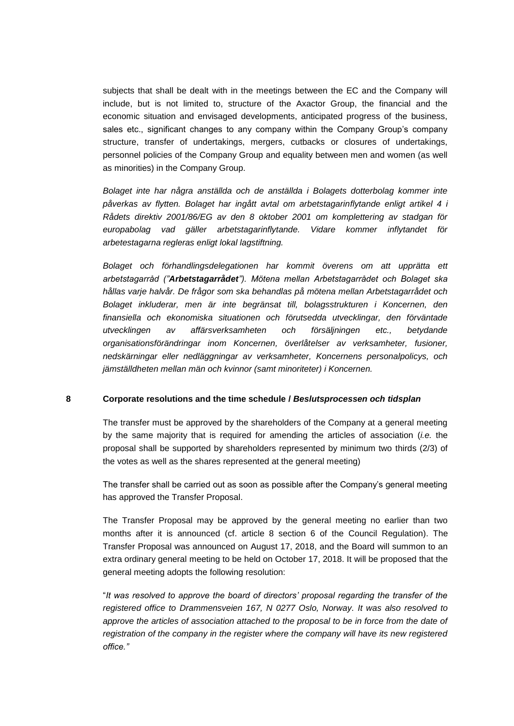subjects that shall be dealt with in the meetings between the EC and the Company will include, but is not limited to, structure of the Axactor Group, the financial and the economic situation and envisaged developments, anticipated progress of the business, sales etc., significant changes to any company within the Company Group's company structure, transfer of undertakings, mergers, cutbacks or closures of undertakings, personnel policies of the Company Group and equality between men and women (as well as minorities) in the Company Group.

*Bolaget inte har några anställda och de anställda i Bolagets dotterbolag kommer inte påverkas av flytten. Bolaget har ingått avtal om arbetstagarinflytande enligt artikel 4 i Rådets direktiv 2001/86/EG av den 8 oktober 2001 om komplettering av stadgan för europabolag vad gäller arbetstagarinflytande. Vidare kommer inflytandet för arbetestagarna regleras enligt lokal lagstiftning.* 

*Bolaget och förhandlingsdelegationen har kommit överens om att upprätta ett arbetstagarråd ("Arbetstagarrådet"). Mötena mellan Arbetstagarrådet och Bolaget ska hållas varje halvår. De frågor som ska behandlas på mötena mellan Arbetstagarrådet och Bolaget inkluderar, men är inte begränsat till, bolagsstrukturen i Koncernen, den finansiella och ekonomiska situationen och förutsedda utvecklingar, den förväntade utvecklingen av affärsverksamheten och försäljningen etc., betydande organisationsförändringar inom Koncernen, överlåtelser av verksamheter, fusioner, nedskärningar eller nedläggningar av verksamheter, Koncernens personalpolicys, och jämställdheten mellan män och kvinnor (samt minoriteter) i Koncernen.*

#### **8 Corporate resolutions and the time schedule /** *Beslutsprocessen och tidsplan*

The transfer must be approved by the shareholders of the Company at a general meeting by the same majority that is required for amending the articles of association (*i.e.* the proposal shall be supported by shareholders represented by minimum two thirds (2/3) of the votes as well as the shares represented at the general meeting)

The transfer shall be carried out as soon as possible after the Company's general meeting has approved the Transfer Proposal.

The Transfer Proposal may be approved by the general meeting no earlier than two months after it is announced (cf. article 8 section 6 of the Council Regulation). The Transfer Proposal was announced on August 17, 2018, and the Board will summon to an extra ordinary general meeting to be held on October 17, 2018. It will be proposed that the general meeting adopts the following resolution:

"*It was resolved to approve the board of directors' proposal regarding the transfer of the registered office to Drammensveien 167, N 0277 Oslo, Norway. It was also resolved to*  approve the articles of association attached to the proposal to be in force from the date of *registration of the company in the register where the company will have its new registered office."*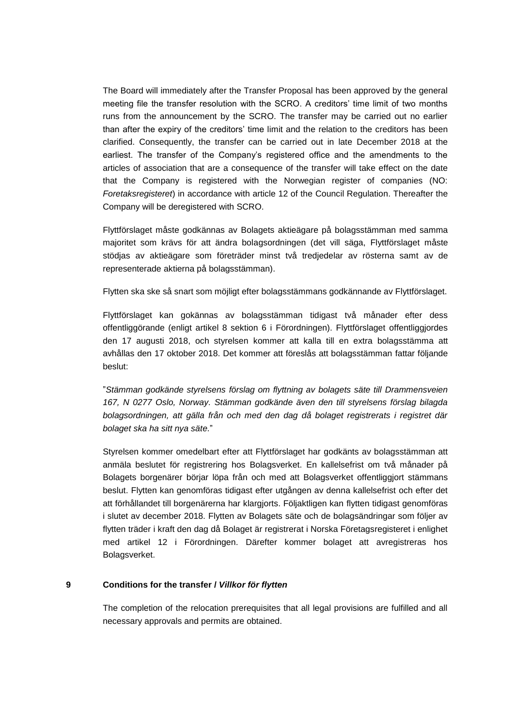The Board will immediately after the Transfer Proposal has been approved by the general meeting file the transfer resolution with the SCRO. A creditors' time limit of two months runs from the announcement by the SCRO. The transfer may be carried out no earlier than after the expiry of the creditors' time limit and the relation to the creditors has been clarified. Consequently, the transfer can be carried out in late December 2018 at the earliest. The transfer of the Company's registered office and the amendments to the articles of association that are a consequence of the transfer will take effect on the date that the Company is registered with the Norwegian register of companies (NO: *Foretaksregisteret*) in accordance with article 12 of the Council Regulation. Thereafter the Company will be deregistered with SCRO.

Flyttförslaget måste godkännas av Bolagets aktieägare på bolagsstämman med samma majoritet som krävs för att ändra bolagsordningen (det vill säga, Flyttförslaget måste stödjas av aktieägare som företräder minst två tredjedelar av rösterna samt av de representerade aktierna på bolagsstämman).

Flytten ska ske så snart som möjligt efter bolagsstämmans godkännande av Flyttförslaget.

Flyttförslaget kan gokännas av bolagsstämman tidigast två månader efter dess offentliggörande (enligt artikel 8 sektion 6 i Förordningen). Flyttförslaget offentliggjordes den 17 augusti 2018, och styrelsen kommer att kalla till en extra bolagsstämma att avhållas den 17 oktober 2018. Det kommer att föreslås att bolagsstämman fattar följande beslut:

"*Stämman godkände styrelsens förslag om flyttning av bolagets säte till Drammensveien 167, N 0277 Oslo, Norway. Stämman godkände även den till styrelsens förslag bilagda bolagsordningen, att gälla från och med den dag då bolaget registrerats i registret där bolaget ska ha sitt nya säte.*"

Styrelsen kommer omedelbart efter att Flyttförslaget har godkänts av bolagsstämman att anmäla beslutet för registrering hos Bolagsverket. En kallelsefrist om två månader på Bolagets borgenärer börjar löpa från och med att Bolagsverket offentliggjort stämmans beslut. Flytten kan genomföras tidigast efter utgången av denna kallelsefrist och efter det att förhållandet till borgenärerna har klargjorts. Följaktligen kan flytten tidigast genomföras i slutet av december 2018. Flytten av Bolagets säte och de bolagsändringar som följer av flytten träder i kraft den dag då Bolaget är registrerat i Norska Företagsregisteret i enlighet med artikel 12 i Förordningen. Därefter kommer bolaget att avregistreras hos Bolagsverket.

### **9 Conditions for the transfer /** *Villkor för flytten*

The completion of the relocation prerequisites that all legal provisions are fulfilled and all necessary approvals and permits are obtained.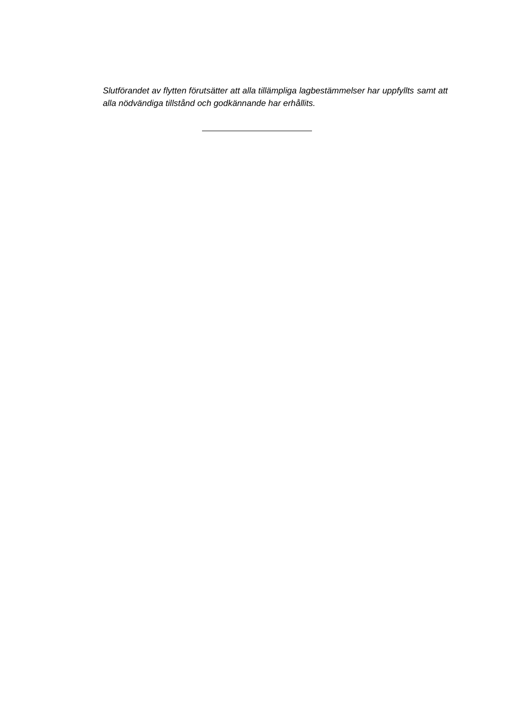*Slutförandet av flytten förutsätter att alla tillämpliga lagbestämmelser har uppfyllts samt att alla nödvändiga tillstånd och godkännande har erhållits.*